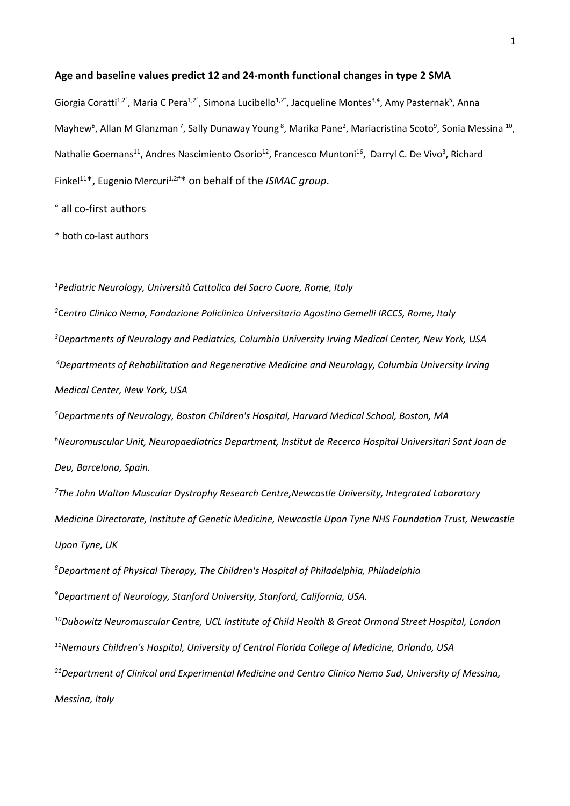#### **Age and baseline values predict 12 and 24-month functional changes in type 2 SMA**

Giorgia Coratti<sup>1,2°</sup>, Maria C Pera<sup>1,2°</sup>, Simona Lucibello<sup>1,2°</sup>, Jacqueline Montes<sup>3,4</sup>, Amy Pasternak<sup>5</sup>, Anna Mayhew<sup>6</sup>, Allan M Glanzman<sup>7</sup>, Sally Dunaway Young<sup>8</sup>, Marika Pane<sup>2</sup>, Mariacristina Scoto<sup>9</sup>, Sonia Messina <sup>10</sup>, Nathalie Goemans<sup>11</sup>, Andres Nascimiento Osorio<sup>12</sup>, Francesco Muntoni<sup>16</sup>, Darryl C. De Vivo<sup>3</sup>, Richard Finkel<sup>11\*</sup>, Eugenio Mercuri<sup>1,2#\*</sup> on behalf of the *ISMAC group*.

° all co-first authors

\* both co-last authors

*1 Pediatric Neurology, Università Cattolica del Sacro Cuore, Rome, Italy*

 C*entro Clinico Nemo, Fondazione Policlinico Universitario Agostino Gemelli IRCCS, Rome, Italy Departments of Neurology and Pediatrics, Columbia University Irving Medical Center, New York, USA Departments of Rehabilitation and Regenerative Medicine and Neurology, Columbia University Irving Medical Center, New York, USA*

*5 Departments of Neurology, Boston Children's Hospital, Harvard Medical School, Boston, MA 6 Neuromuscular Unit, Neuropaediatrics Department, Institut de Recerca Hospital Universitari Sant Joan de Deu, Barcelona, Spain.*

*7 The John Walton Muscular Dystrophy Research Centre,Newcastle University, Integrated Laboratory Medicine Directorate, Institute of Genetic Medicine, Newcastle Upon Tyne NHS Foundation Trust, Newcastle Upon Tyne, UK*

*8 Department of Physical Therapy, The Children's Hospital of Philadelphia, Philadelphia*

*9 Department of Neurology, Stanford University, Stanford, California, USA.*

*10Dubowitz Neuromuscular Centre, UCL Institute of Child Health & Great Ormond Street Hospital, London*

*11Nemours Children's Hospital, University of Central Florida College of Medicine, Orlando, USA*

*21 Department of Clinical and Experimental Medicine and Centro Clinico Nemo Sud, University of Messina, Messina, Italy*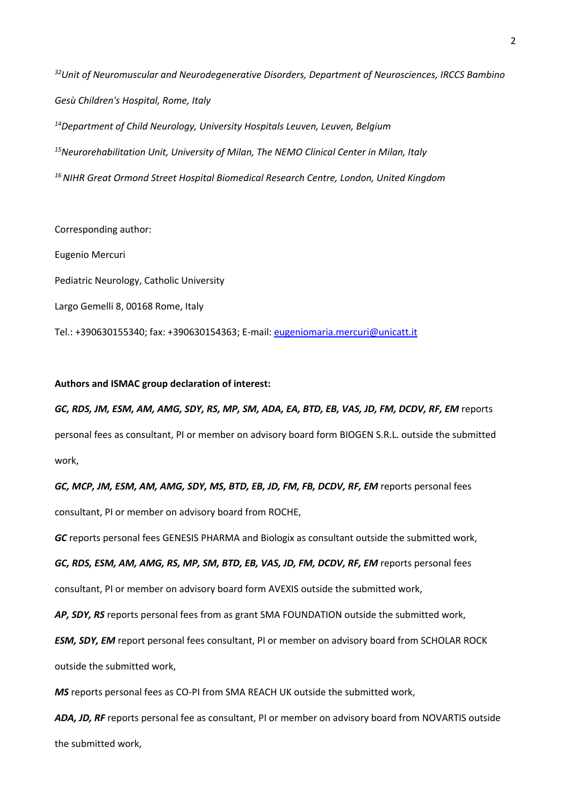*32 Unit of Neuromuscular and Neurodegenerative Disorders, Department of Neurosciences, IRCCS Bambino Gesù Children's Hospital, Rome, Italy 14 Department of Child Neurology, University Hospitals Leuven, Leuven, Belgium 15 Neurorehabilitation Unit, University of Milan, The NEMO Clinical Center in Milan, Italy 16 NIHR Great Ormond Street Hospital Biomedical Research Centre, London, United Kingdom*

Corresponding author: Eugenio Mercuri Pediatric Neurology, Catholic University Largo Gemelli 8, 00168 Rome, Italy Tel.: +390630155340; fax: +390630154363; E-mail: eugeniomaria.mercuri@unicatt.it

## **Authors and ISMAC group declaration of interest:**

*GC, RDS, JM, ESM, AM, AMG, SDY, RS, MP, SM, ADA, EA, BTD, EB, VAS, JD, FM, DCDV, RF, EM* reports personal fees as consultant, PI or member on advisory board form BIOGEN S.R.L. outside the submitted work,

GC, MCP, JM, ESM, AM, AMG, SDY, MS, BTD, EB, JD, FM, FB, DCDV, RF, EM reports personal fees consultant, PI or member on advisory board from ROCHE,

*GC* reports personal fees GENESIS PHARMA and Biologix as consultant outside the submitted work,

*GC, RDS, ESM, AM, AMG, RS, MP, SM, BTD, EB, VAS, JD, FM, DCDV, RF, EM* reports personal fees

consultant, PI or member on advisory board form AVEXIS outside the submitted work,

*AP, SDY, RS* reports personal fees from as grant SMA FOUNDATION outside the submitted work,

*ESM, SDY, EM* report personal fees consultant, PI or member on advisory board from SCHOLAR ROCK outside the submitted work,

*MS* reports personal fees as CO-PI from SMA REACH UK outside the submitted work,

*ADA, JD, RF* reports personal fee as consultant, PI or member on advisory board from NOVARTIS outside the submitted work,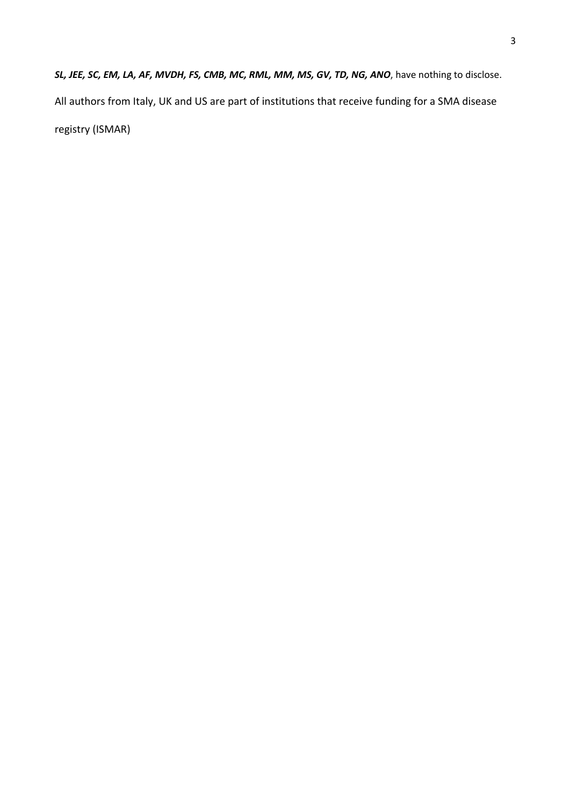*SL, JEE, SC, EM, LA, AF, MVDH, FS, CMB, MC, RML, MM, MS, GV, TD, NG, ANO*, have nothing to disclose. All authors from Italy, UK and US are part of institutions that receive funding for a SMA disease registry (ISMAR)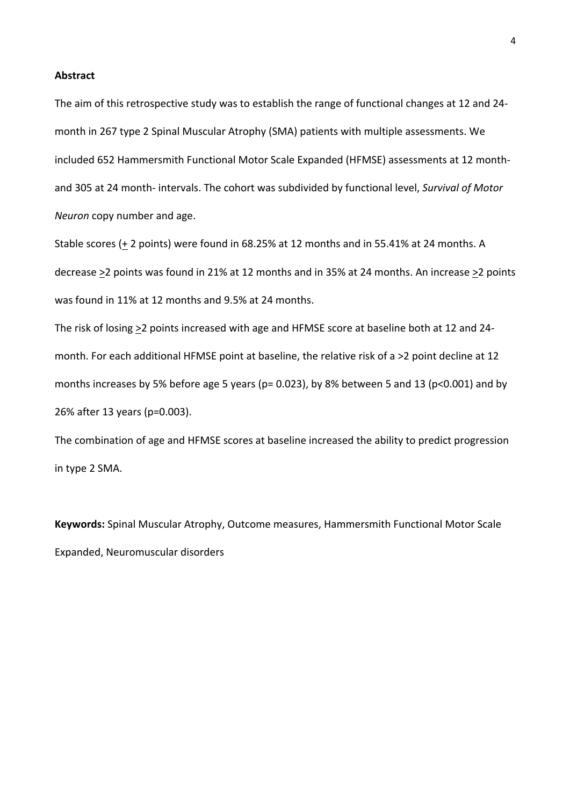#### **Abstract**

The aim of this retrospective study was to establish the range of functional changes at 12 and 24 month in 267 type 2 Spinal Muscular Atrophy (SMA) patients with multiple assessments. We included 652 Hammersmith Functional Motor Scale Expanded (HFMSE) assessments at 12 monthand 305 at 24 month- intervals. The cohort was subdivided by functional level, *Survival of Motor Neuron* copy number and age.

Stable scores (+ 2 points) were found in 68.25% at 12 months and in 55.41% at 24 months. A decrease >2 points was found in 21% at 12 months and in 35% at 24 months. An increase >2 points was found in 11% at 12 months and 9.5% at 24 months.

The risk of losing >2 points increased with age and HFMSE score at baseline both at 12 and 24 month. For each additional HFMSE point at baseline, the relative risk of a >2 point decline at 12 months increases by 5% before age 5 years (p= 0.023), by 8% between 5 and 13 (p<0.001) and by 26% after 13 years (p=0.003).

The combination of age and HFMSE scores at baseline increased the ability to predict progression in type 2 SMA.

**Keywords:** Spinal Muscular Atrophy, Outcome measures, Hammersmith Functional Motor Scale Expanded, Neuromuscular disorders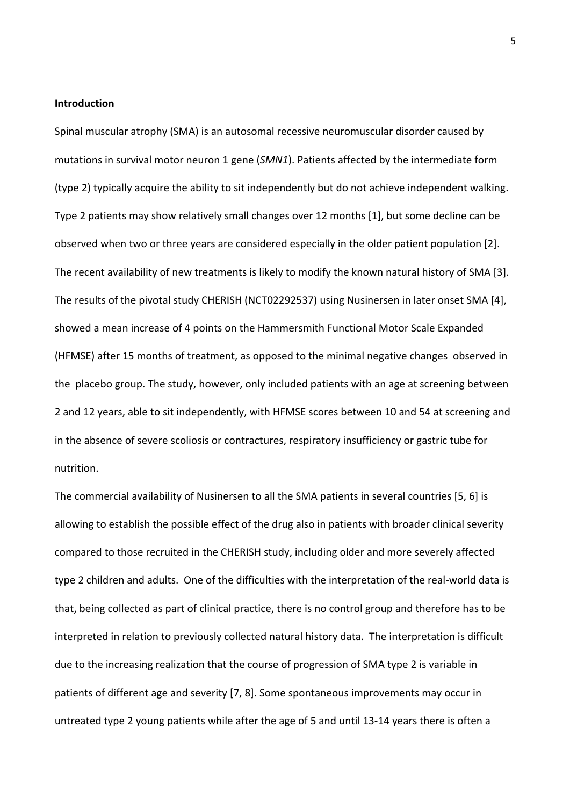# **Introduction**

Spinal muscular atrophy (SMA) is an autosomal recessive neuromuscular disorder caused by mutations in survival motor neuron 1 gene (*SMN1*). Patients affected by the intermediate form (type 2) typically acquire the ability to sit independently but do not achieve independent walking. Type 2 patients may show relatively small changes over 12 months [1], but some decline can be observed when two or three years are considered especially in the older patient population [2]. The recent availability of new treatments is likely to modify the known natural history of SMA [3]. The results of the pivotal study CHERISH (NCT02292537) using Nusinersen in later onset SMA [4], showed a mean increase of 4 points on the Hammersmith Functional Motor Scale Expanded (HFMSE) after 15 months of treatment, as opposed to the minimal negative changes observed in the placebo group. The study, however, only included patients with an age at screening between 2 and 12 years, able to sit independently, with HFMSE scores between 10 and 54 at screening and in the absence of severe scoliosis or contractures, respiratory insufficiency or gastric tube for nutrition.

The commercial availability of Nusinersen to all the SMA patients in several countries [5, 6] is allowing to establish the possible effect of the drug also in patients with broader clinical severity compared to those recruited in the CHERISH study, including older and more severely affected type 2 children and adults. One of the difficulties with the interpretation of the real-world data is that, being collected as part of clinical practice, there is no control group and therefore has to be interpreted in relation to previously collected natural history data. The interpretation is difficult due to the increasing realization that the course of progression of SMA type 2 is variable in patients of different age and severity [7, 8]. Some spontaneous improvements may occur in untreated type 2 young patients while after the age of 5 and until 13-14 years there is often a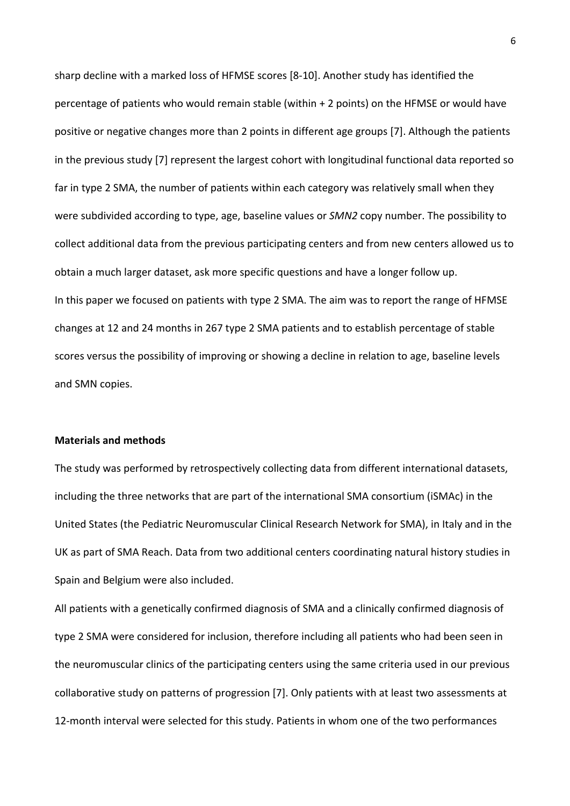sharp decline with a marked loss of HFMSE scores [8-10]. Another study has identified the percentage of patients who would remain stable (within + 2 points) on the HFMSE or would have positive or negative changes more than 2 points in different age groups [7]. Although the patients in the previous study [7] represent the largest cohort with longitudinal functional data reported so far in type 2 SMA, the number of patients within each category was relatively small when they were subdivided according to type, age, baseline values or *SMN2* copy number. The possibility to collect additional data from the previous participating centers and from new centers allowed us to obtain a much larger dataset, ask more specific questions and have a longer follow up. In this paper we focused on patients with type 2 SMA. The aim was to report the range of HFMSE changes at 12 and 24 months in 267 type 2 SMA patients and to establish percentage of stable scores versus the possibility of improving or showing a decline in relation to age, baseline levels and SMN copies.

# **Materials and methods**

The study was performed by retrospectively collecting data from different international datasets, including the three networks that are part of the international SMA consortium (iSMAc) in the United States (the Pediatric Neuromuscular Clinical Research Network for SMA), in Italy and in the UK as part of SMA Reach. Data from two additional centers coordinating natural history studies in Spain and Belgium were also included.

All patients with a genetically confirmed diagnosis of SMA and a clinically confirmed diagnosis of type 2 SMA were considered for inclusion, therefore including all patients who had been seen in the neuromuscular clinics of the participating centers using the same criteria used in our previous collaborative study on patterns of progression [7]. Only patients with at least two assessments at 12-month interval were selected for this study. Patients in whom one of the two performances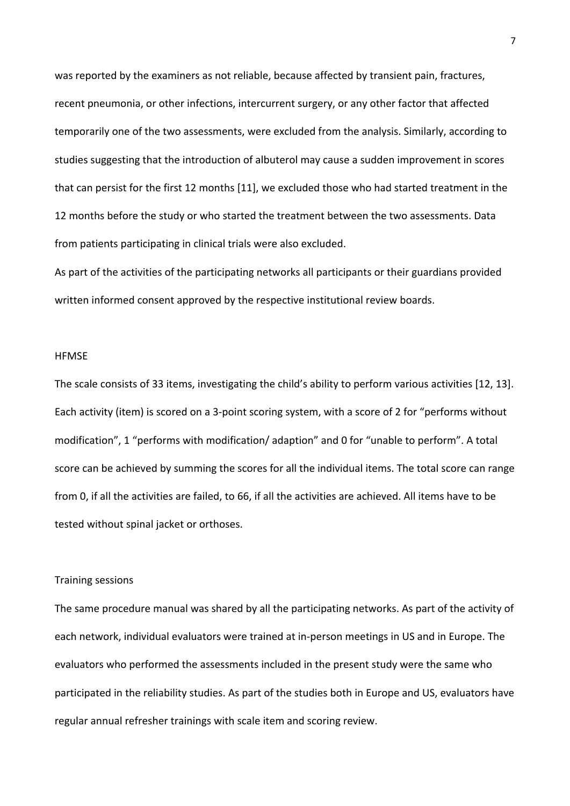was reported by the examiners as not reliable, because affected by transient pain, fractures, recent pneumonia, or other infections, intercurrent surgery, or any other factor that affected temporarily one of the two assessments, were excluded from the analysis. Similarly, according to studies suggesting that the introduction of albuterol may cause a sudden improvement in scores that can persist for the first 12 months [11], we excluded those who had started treatment in the 12 months before the study or who started the treatment between the two assessments. Data from patients participating in clinical trials were also excluded.

As part of the activities of the participating networks all participants or their guardians provided written informed consent approved by the respective institutional review boards.

### **HFMSE**

The scale consists of 33 items, investigating the child's ability to perform various activities [12, 13]. Each activity (item) is scored on a 3-point scoring system, with a score of 2 for "performs without modification", 1 "performs with modification/ adaption" and 0 for "unable to perform". A total score can be achieved by summing the scores for all the individual items. The total score can range from 0, if all the activities are failed, to 66, if all the activities are achieved. All items have to be tested without spinal jacket or orthoses.

## Training sessions

The same procedure manual was shared by all the participating networks. As part of the activity of each network, individual evaluators were trained at in-person meetings in US and in Europe. The evaluators who performed the assessments included in the present study were the same who participated in the reliability studies. As part of the studies both in Europe and US, evaluators have regular annual refresher trainings with scale item and scoring review.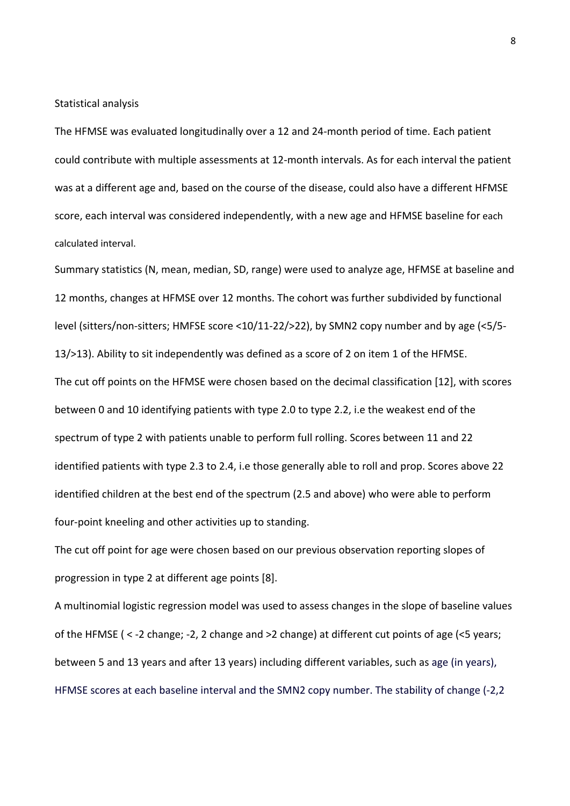Statistical analysis

The HFMSE was evaluated longitudinally over a 12 and 24-month period of time. Each patient could contribute with multiple assessments at 12-month intervals. As for each interval the patient was at a different age and, based on the course of the disease, could also have a different HFMSE score, each interval was considered independently, with a new age and HFMSE baseline for each calculated interval.

Summary statistics (N, mean, median, SD, range) were used to analyze age, HFMSE at baseline and 12 months, changes at HFMSE over 12 months. The cohort was further subdivided by functional level (sitters/non-sitters; HMFSE score <10/11-22/>22), by SMN2 copy number and by age (<5/5- 13/>13). Ability to sit independently was defined as a score of 2 on item 1 of the HFMSE. The cut off points on the HFMSE were chosen based on the decimal classification [12], with scores between 0 and 10 identifying patients with type 2.0 to type 2.2, i.e the weakest end of the spectrum of type 2 with patients unable to perform full rolling. Scores between 11 and 22 identified patients with type 2.3 to 2.4, i.e those generally able to roll and prop. Scores above 22 identified children at the best end of the spectrum (2.5 and above) who were able to perform four-point kneeling and other activities up to standing.

The cut off point for age were chosen based on our previous observation reporting slopes of progression in type 2 at different age points [8].

A multinomial logistic regression model was used to assess changes in the slope of baseline values of the HFMSE ( < -2 change; -2, 2 change and >2 change) at different cut points of age (<5 years; between 5 and 13 years and after 13 years) including different variables, such as age (in years), HFMSE scores at each baseline interval and the SMN2 copy number. The stability of change (-2,2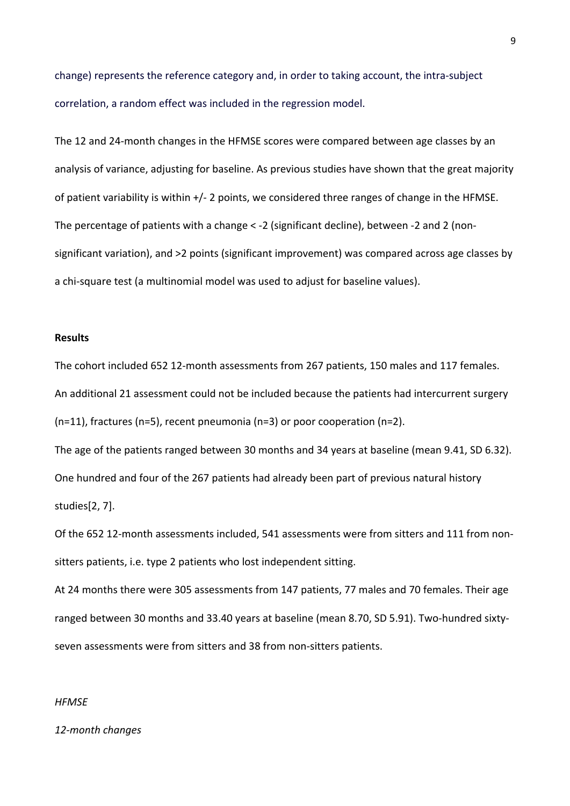change) represents the reference category and, in order to taking account, the intra-subject correlation, a random effect was included in the regression model.

The 12 and 24-month changes in the HFMSE scores were compared between age classes by an analysis of variance, adjusting for baseline. As previous studies have shown that the great majority of patient variability is within +/- 2 points, we considered three ranges of change in the HFMSE. The percentage of patients with a change < -2 (significant decline), between -2 and 2 (nonsignificant variation), and >2 points (significant improvement) was compared across age classes by a chi-square test (a multinomial model was used to adjust for baseline values).

### **Results**

The cohort included 652 12-month assessments from 267 patients, 150 males and 117 females. An additional 21 assessment could not be included because the patients had intercurrent surgery (n=11), fractures (n=5), recent pneumonia (n=3) or poor cooperation (n=2).

The age of the patients ranged between 30 months and 34 years at baseline (mean 9.41, SD 6.32). One hundred and four of the 267 patients had already been part of previous natural history studies[2, 7].

Of the 652 12-month assessments included, 541 assessments were from sitters and 111 from nonsitters patients, i.e. type 2 patients who lost independent sitting.

At 24 months there were 305 assessments from 147 patients, 77 males and 70 females. Their age ranged between 30 months and 33.40 years at baseline (mean 8.70, SD 5.91). Two-hundred sixtyseven assessments were from sitters and 38 from non-sitters patients.

### *HFMSE*

### *12-month changes*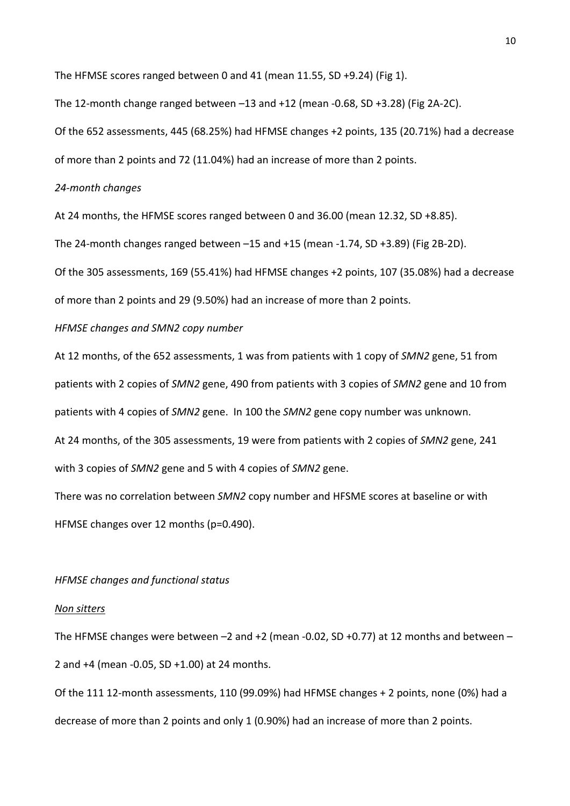The HFMSE scores ranged between 0 and 41 (mean 11.55, SD +9.24) (Fig 1).

The 12-month change ranged between –13 and +12 (mean -0.68, SD +3.28) (Fig 2A-2C).

Of the 652 assessments, 445 (68.25%) had HFMSE changes +2 points, 135 (20.71%) had a decrease of more than 2 points and 72 (11.04%) had an increase of more than 2 points.

## *24-month changes*

At 24 months, the HFMSE scores ranged between 0 and 36.00 (mean 12.32, SD +8.85).

The 24-month changes ranged between  $-15$  and  $+15$  (mean  $-1.74$ , SD  $+3.89$ ) (Fig 2B-2D).

Of the 305 assessments, 169 (55.41%) had HFMSE changes +2 points, 107 (35.08%) had a decrease

of more than 2 points and 29 (9.50%) had an increase of more than 2 points.

### *HFMSE changes and SMN2 copy number*

At 12 months, of the 652 assessments, 1 was from patients with 1 copy of *SMN2* gene, 51 from patients with 2 copies of *SMN2* gene, 490 from patients with 3 copies of *SMN2* gene and 10 from patients with 4 copies of *SMN2* gene. In 100 the *SMN2* gene copy number was unknown. At 24 months, of the 305 assessments, 19 were from patients with 2 copies of *SMN2* gene, 241

with 3 copies of *SMN2* gene and 5 with 4 copies of *SMN2* gene.

There was no correlation between *SMN2* copy number and HFSME scores at baseline or with HFMSE changes over 12 months (p=0.490).

# *HFMSE changes and functional status*

#### *Non sitters*

The HFMSE changes were between  $-2$  and  $+2$  (mean -0.02, SD +0.77) at 12 months and between  $-$ 2 and +4 (mean -0.05, SD +1.00) at 24 months.

Of the 111 12-month assessments, 110 (99.09%) had HFMSE changes + 2 points, none (0%) had a decrease of more than 2 points and only 1 (0.90%) had an increase of more than 2 points.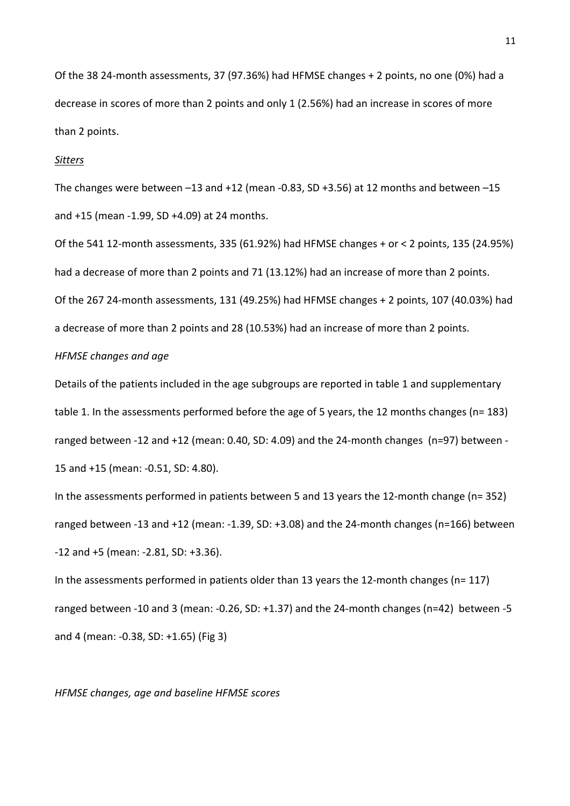Of the 38 24-month assessments, 37 (97.36%) had HFMSE changes + 2 points, no one (0%) had a decrease in scores of more than 2 points and only 1 (2.56%) had an increase in scores of more than 2 points.

#### *Sitters*

The changes were between  $-13$  and  $+12$  (mean  $-0.83$ , SD  $+3.56$ ) at 12 months and between  $-15$ and +15 (mean -1.99, SD +4.09) at 24 months.

Of the 541 12-month assessments, 335 (61.92%) had HFMSE changes + or < 2 points, 135 (24.95%) had a decrease of more than 2 points and 71 (13.12%) had an increase of more than 2 points. Of the 267 24-month assessments, 131 (49.25%) had HFMSE changes + 2 points, 107 (40.03%) had a decrease of more than 2 points and 28 (10.53%) had an increase of more than 2 points.

# *HFMSE changes and age*

Details of the patients included in the age subgroups are reported in table 1 and supplementary table 1. In the assessments performed before the age of 5 years, the 12 months changes (n= 183) ranged between -12 and +12 (mean: 0.40, SD: 4.09) and the 24-month changes (n=97) between - 15 and +15 (mean: -0.51, SD: 4.80).

In the assessments performed in patients between 5 and 13 years the 12-month change (n= 352) ranged between -13 and +12 (mean: -1.39, SD: +3.08) and the 24-month changes (n=166) between -12 and +5 (mean: -2.81, SD: +3.36).

In the assessments performed in patients older than 13 years the 12-month changes (n= 117) ranged between -10 and 3 (mean: -0.26, SD: +1.37) and the 24-month changes (n=42) between -5 and 4 (mean: -0.38, SD: +1.65) (Fig 3)

#### *HFMSE changes, age and baseline HFMSE scores*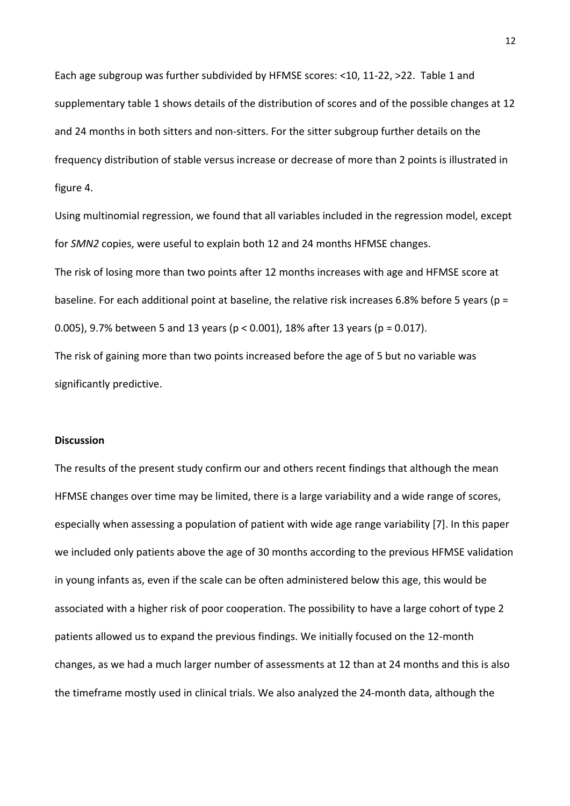Each age subgroup was further subdivided by HFMSE scores: <10, 11-22, >22. Table 1 and supplementary table 1 shows details of the distribution of scores and of the possible changes at 12 and 24 months in both sitters and non-sitters. For the sitter subgroup further details on the frequency distribution of stable versus increase or decrease of more than 2 points is illustrated in figure 4.

Using multinomial regression, we found that all variables included in the regression model, except for *SMN2* copies, were useful to explain both 12 and 24 months HFMSE changes.

The risk of losing more than two points after 12 months increases with age and HFMSE score at baseline. For each additional point at baseline, the relative risk increases 6.8% before 5 years (p = 0.005), 9.7% between 5 and 13 years ( $p < 0.001$ ), 18% after 13 years ( $p = 0.017$ ).

The risk of gaining more than two points increased before the age of 5 but no variable was significantly predictive.

# **Discussion**

The results of the present study confirm our and others recent findings that although the mean HFMSE changes over time may be limited, there is a large variability and a wide range of scores, especially when assessing a population of patient with wide age range variability [7]. In this paper we included only patients above the age of 30 months according to the previous HFMSE validation in young infants as, even if the scale can be often administered below this age, this would be associated with a higher risk of poor cooperation. The possibility to have a large cohort of type 2 patients allowed us to expand the previous findings. We initially focused on the 12-month changes, as we had a much larger number of assessments at 12 than at 24 months and this is also the timeframe mostly used in clinical trials. We also analyzed the 24-month data, although the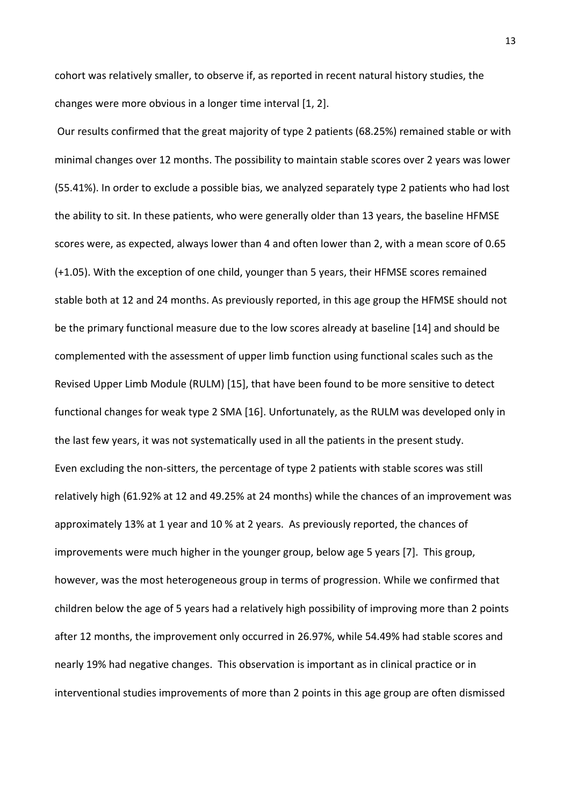cohort was relatively smaller, to observe if, as reported in recent natural history studies, the changes were more obvious in a longer time interval [1, 2].

Our results confirmed that the great majority of type 2 patients (68.25%) remained stable or with minimal changes over 12 months. The possibility to maintain stable scores over 2 years was lower (55.41%). In order to exclude a possible bias, we analyzed separately type 2 patients who had lost the ability to sit. In these patients, who were generally older than 13 years, the baseline HFMSE scores were, as expected, always lower than 4 and often lower than 2, with a mean score of 0.65 (+1.05). With the exception of one child, younger than 5 years, their HFMSE scores remained stable both at 12 and 24 months. As previously reported, in this age group the HFMSE should not be the primary functional measure due to the low scores already at baseline [14] and should be complemented with the assessment of upper limb function using functional scales such as the Revised Upper Limb Module (RULM) [15], that have been found to be more sensitive to detect functional changes for weak type 2 SMA [16]. Unfortunately, as the RULM was developed only in the last few years, it was not systematically used in all the patients in the present study. Even excluding the non-sitters, the percentage of type 2 patients with stable scores was still relatively high (61.92% at 12 and 49.25% at 24 months) while the chances of an improvement was approximately 13% at 1 year and 10 % at 2 years. As previously reported, the chances of improvements were much higher in the younger group, below age 5 years [7]. This group, however, was the most heterogeneous group in terms of progression. While we confirmed that children below the age of 5 years had a relatively high possibility of improving more than 2 points after 12 months, the improvement only occurred in 26.97%, while 54.49% had stable scores and nearly 19% had negative changes. This observation is important as in clinical practice or in interventional studies improvements of more than 2 points in this age group are often dismissed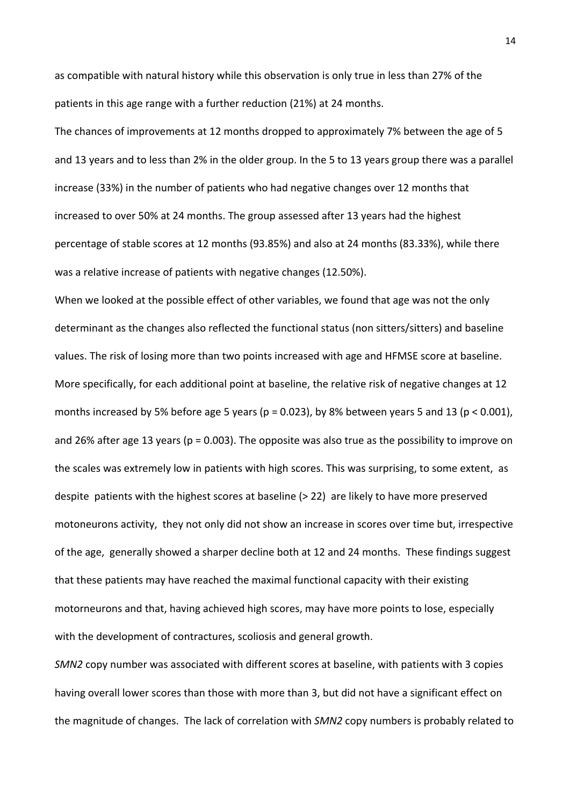as compatible with natural history while this observation is only true in less than 27% of the patients in this age range with a further reduction (21%) at 24 months.

The chances of improvements at 12 months dropped to approximately 7% between the age of 5 and 13 years and to less than 2% in the older group. In the 5 to 13 years group there was a parallel increase (33%) in the number of patients who had negative changes over 12 months that increased to over 50% at 24 months. The group assessed after 13 years had the highest percentage of stable scores at 12 months (93.85%) and also at 24 months (83.33%), while there was a relative increase of patients with negative changes (12.50%).

When we looked at the possible effect of other variables, we found that age was not the only determinant as the changes also reflected the functional status (non sitters/sitters) and baseline values. The risk of losing more than two points increased with age and HFMSE score at baseline. More specifically, for each additional point at baseline, the relative risk of negative changes at 12 months increased by 5% before age 5 years ( $p = 0.023$ ), by 8% between years 5 and 13 ( $p < 0.001$ ), and 26% after age 13 years ( $p = 0.003$ ). The opposite was also true as the possibility to improve on the scales was extremely low in patients with high scores. This was surprising, to some extent, as despite patients with the highest scores at baseline (> 22) are likely to have more preserved motoneurons activity, they not only did not show an increase in scores over time but, irrespective of the age, generally showed a sharper decline both at 12 and 24 months. These findings suggest that these patients may have reached the maximal functional capacity with their existing motorneurons and that, having achieved high scores, may have more points to lose, especially with the development of contractures, scoliosis and general growth.

*SMN2* copy number was associated with different scores at baseline, with patients with 3 copies having overall lower scores than those with more than 3, but did not have a significant effect on the magnitude of changes. The lack of correlation with *SMN2* copy numbers is probably related to

14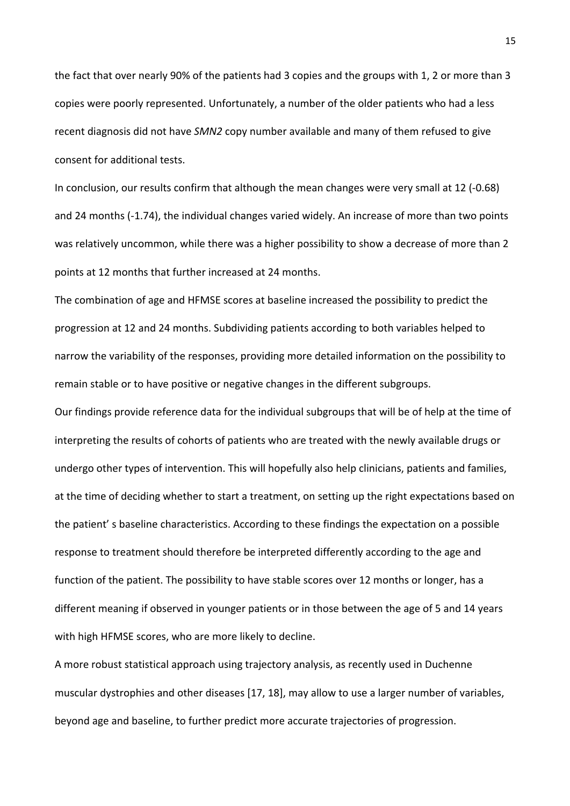the fact that over nearly 90% of the patients had 3 copies and the groups with 1, 2 or more than 3 copies were poorly represented. Unfortunately, a number of the older patients who had a less recent diagnosis did not have *SMN2* copy number available and many of them refused to give consent for additional tests.

In conclusion, our results confirm that although the mean changes were very small at 12 (-0.68) and 24 months (-1.74), the individual changes varied widely. An increase of more than two points was relatively uncommon, while there was a higher possibility to show a decrease of more than 2 points at 12 months that further increased at 24 months.

The combination of age and HFMSE scores at baseline increased the possibility to predict the progression at 12 and 24 months. Subdividing patients according to both variables helped to narrow the variability of the responses, providing more detailed information on the possibility to remain stable or to have positive or negative changes in the different subgroups.

Our findings provide reference data for the individual subgroups that will be of help at the time of interpreting the results of cohorts of patients who are treated with the newly available drugs or undergo other types of intervention. This will hopefully also help clinicians, patients and families, at the time of deciding whether to start a treatment, on setting up the right expectations based on the patient' s baseline characteristics. According to these findings the expectation on a possible response to treatment should therefore be interpreted differently according to the age and function of the patient. The possibility to have stable scores over 12 months or longer, has a different meaning if observed in younger patients or in those between the age of 5 and 14 years with high HFMSE scores, who are more likely to decline.

A more robust statistical approach using trajectory analysis, as recently used in Duchenne muscular dystrophies and other diseases [17, 18], may allow to use a larger number of variables, beyond age and baseline, to further predict more accurate trajectories of progression.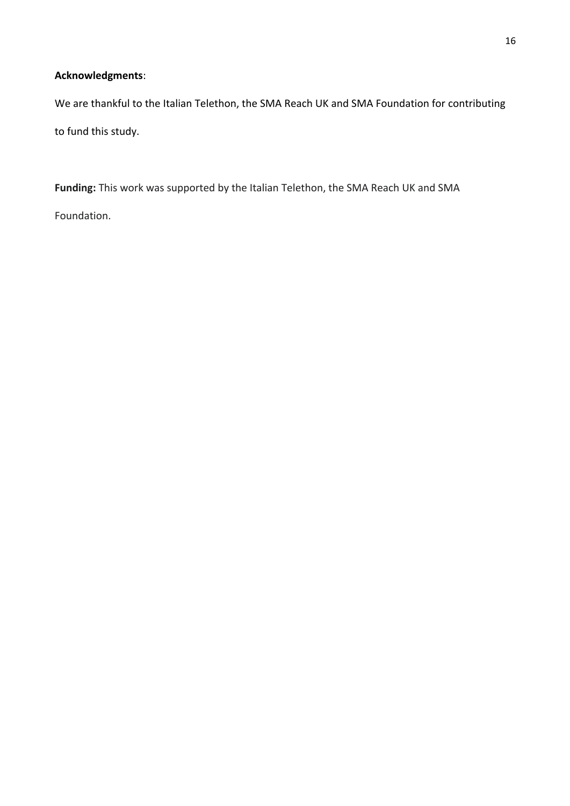# **Acknowledgments**:

We are thankful to the Italian Telethon, the SMA Reach UK and SMA Foundation for contributing to fund this study.

**Funding:** This work was supported by the Italian Telethon, the SMA Reach UK and SMA Foundation.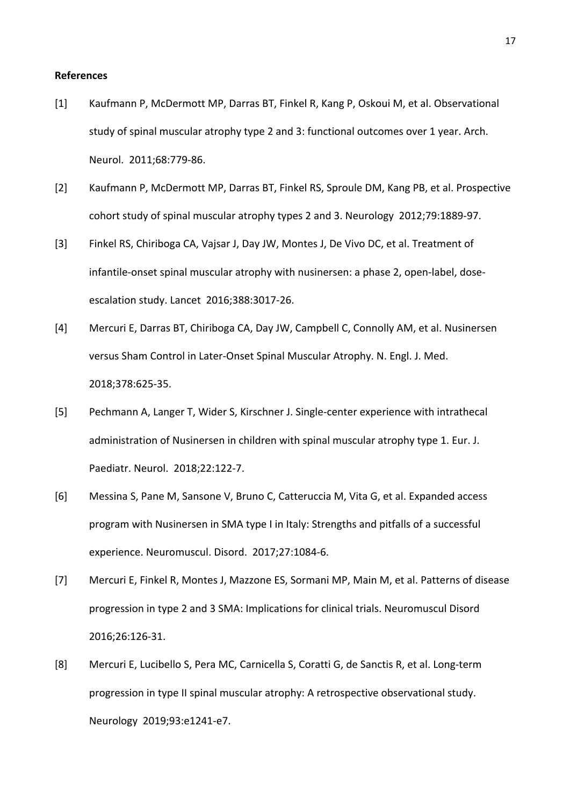#### **References**

- [1] Kaufmann P, McDermott MP, Darras BT, Finkel R, Kang P, Oskoui M, et al. Observational study of spinal muscular atrophy type 2 and 3: functional outcomes over 1 year. Arch. Neurol. 2011;68:779-86.
- [2] Kaufmann P, McDermott MP, Darras BT, Finkel RS, Sproule DM, Kang PB, et al. Prospective cohort study of spinal muscular atrophy types 2 and 3. Neurology 2012;79:1889-97.
- [3] Finkel RS, Chiriboga CA, Vajsar J, Day JW, Montes J, De Vivo DC, et al. Treatment of infantile-onset spinal muscular atrophy with nusinersen: a phase 2, open-label, doseescalation study. Lancet 2016;388:3017-26.
- [4] Mercuri E, Darras BT, Chiriboga CA, Day JW, Campbell C, Connolly AM, et al. Nusinersen versus Sham Control in Later-Onset Spinal Muscular Atrophy. N. Engl. J. Med. 2018;378:625-35.
- [5] Pechmann A, Langer T, Wider S, Kirschner J. Single-center experience with intrathecal administration of Nusinersen in children with spinal muscular atrophy type 1. Eur. J. Paediatr. Neurol. 2018;22:122-7.
- [6] Messina S, Pane M, Sansone V, Bruno C, Catteruccia M, Vita G, et al. Expanded access program with Nusinersen in SMA type I in Italy: Strengths and pitfalls of a successful experience. Neuromuscul. Disord. 2017;27:1084-6.
- [7] Mercuri E, Finkel R, Montes J, Mazzone ES, Sormani MP, Main M, et al. Patterns of disease progression in type 2 and 3 SMA: Implications for clinical trials. Neuromuscul Disord 2016;26:126-31.
- [8] Mercuri E, Lucibello S, Pera MC, Carnicella S, Coratti G, de Sanctis R, et al. Long-term progression in type II spinal muscular atrophy: A retrospective observational study. Neurology 2019;93:e1241-e7.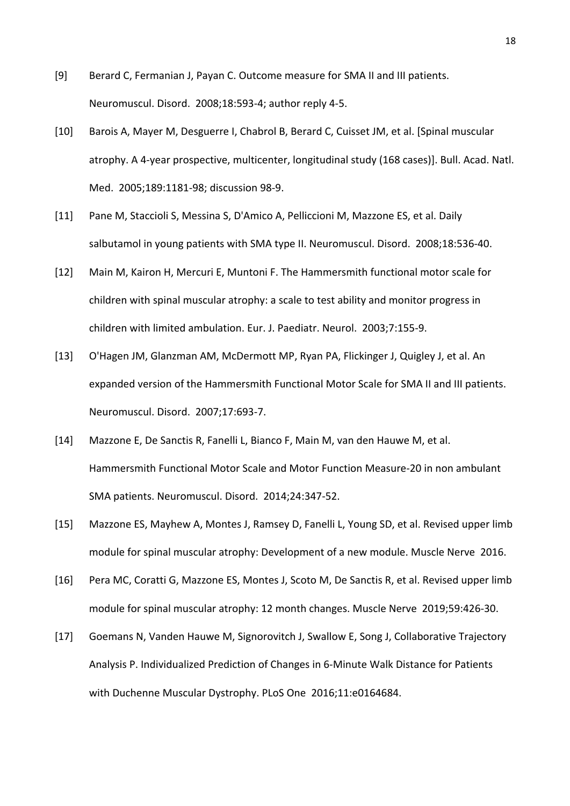- [9] Berard C, Fermanian J, Payan C. Outcome measure for SMA II and III patients. Neuromuscul. Disord. 2008;18:593-4; author reply 4-5.
- [10] Barois A, Mayer M, Desguerre I, Chabrol B, Berard C, Cuisset JM, et al. [Spinal muscular atrophy. A 4-year prospective, multicenter, longitudinal study (168 cases)]. Bull. Acad. Natl. Med. 2005;189:1181-98; discussion 98-9.
- [11] Pane M, Staccioli S, Messina S, D'Amico A, Pelliccioni M, Mazzone ES, et al. Daily salbutamol in young patients with SMA type II. Neuromuscul. Disord. 2008;18:536-40.
- [12] Main M, Kairon H, Mercuri E, Muntoni F. The Hammersmith functional motor scale for children with spinal muscular atrophy: a scale to test ability and monitor progress in children with limited ambulation. Eur. J. Paediatr. Neurol. 2003;7:155-9.
- [13] O'Hagen JM, Glanzman AM, McDermott MP, Ryan PA, Flickinger J, Quigley J, et al. An expanded version of the Hammersmith Functional Motor Scale for SMA II and III patients. Neuromuscul. Disord. 2007;17:693-7.
- [14] Mazzone E, De Sanctis R, Fanelli L, Bianco F, Main M, van den Hauwe M, et al. Hammersmith Functional Motor Scale and Motor Function Measure-20 in non ambulant SMA patients. Neuromuscul. Disord. 2014;24:347-52.
- [15] Mazzone ES, Mayhew A, Montes J, Ramsey D, Fanelli L, Young SD, et al. Revised upper limb module for spinal muscular atrophy: Development of a new module. Muscle Nerve 2016.
- [16] Pera MC, Coratti G, Mazzone ES, Montes J, Scoto M, De Sanctis R, et al. Revised upper limb module for spinal muscular atrophy: 12 month changes. Muscle Nerve 2019;59:426-30.
- [17] Goemans N, Vanden Hauwe M, Signorovitch J, Swallow E, Song J, Collaborative Trajectory Analysis P. Individualized Prediction of Changes in 6-Minute Walk Distance for Patients with Duchenne Muscular Dystrophy. PLoS One 2016;11:e0164684.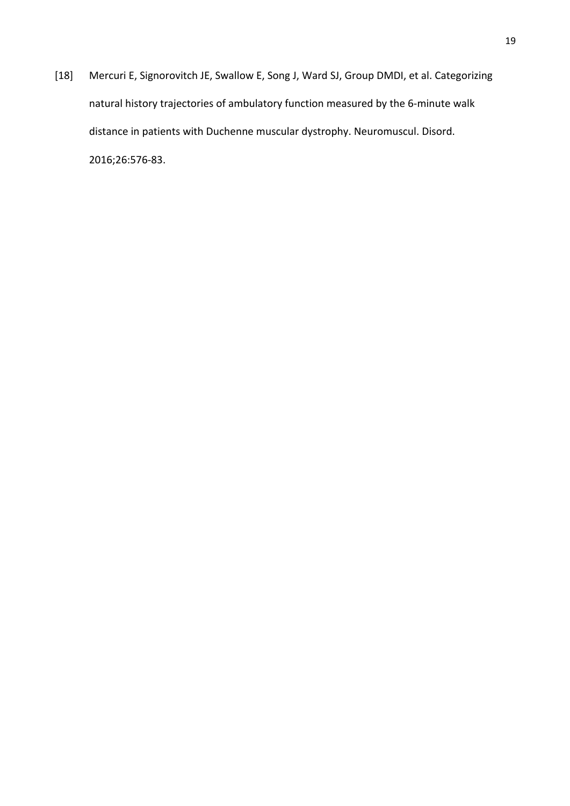[18] Mercuri E, Signorovitch JE, Swallow E, Song J, Ward SJ, Group DMDI, et al. Categorizing natural history trajectories of ambulatory function measured by the 6-minute walk distance in patients with Duchenne muscular dystrophy. Neuromuscul. Disord. 2016;26:576-83.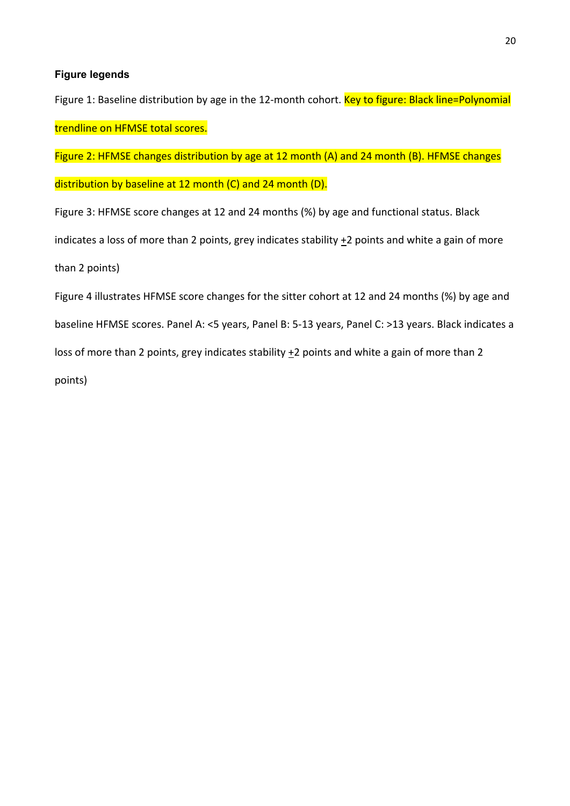# **Figure legends**

Figure 1: Baseline distribution by age in the 12-month cohort. Key to figure: Black line=Polynomial trendline on HFMSE total scores.

Figure 2: HFMSE changes distribution by age at 12 month (A) and 24 month (B). HFMSE changes

distribution by baseline at 12 month (C) and 24 month (D).

Figure 3: HFMSE score changes at 12 and 24 months (%) by age and functional status. Black indicates a loss of more than 2 points, grey indicates stability  $+2$  points and white a gain of more than 2 points)

Figure 4 illustrates HFMSE score changes for the sitter cohort at 12 and 24 months (%) by age and baseline HFMSE scores. Panel A: <5 years, Panel B: 5-13 years, Panel C: >13 years. Black indicates a loss of more than 2 points, grey indicates stability +2 points and white a gain of more than 2 points)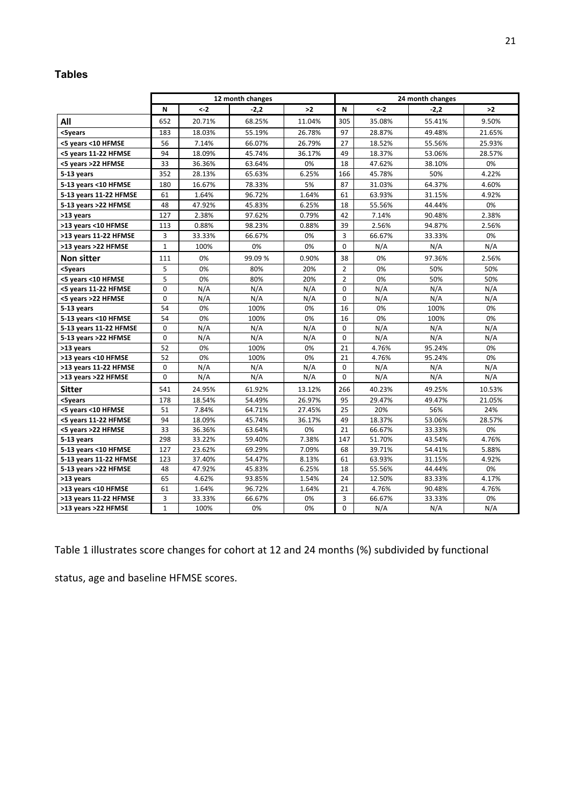# **Tables**

|                        | 12 month changes |                |        |        | 24 month changes |        |        |        |
|------------------------|------------------|----------------|--------|--------|------------------|--------|--------|--------|
|                        | N                | $\leftarrow$ 2 | $-2,2$ | >2     | N                | $< -2$ | $-2,2$ | >2     |
| All                    | 652              | 20.71%         | 68.25% | 11.04% | 305              | 35.08% | 55.41% | 9.50%  |
| <5years                | 183              | 18.03%         | 55.19% | 26.78% | 97               | 28.87% | 49.48% | 21.65% |
| <5 years <10 HFMSE     | 56               | 7.14%          | 66.07% | 26.79% | 27               | 18.52% | 55.56% | 25.93% |
| <5 years 11-22 HFMSE   | 94               | 18.09%         | 45.74% | 36.17% | 49               | 18.37% | 53.06% | 28.57% |
| <5 years >22 HFMSE     | 33               | 36.36%         | 63.64% | 0%     | 18               | 47.62% | 38.10% | 0%     |
| 5-13 years             | 352              | 28.13%         | 65.63% | 6.25%  | 166              | 45.78% | 50%    | 4.22%  |
| 5-13 years <10 HFMSE   | 180              | 16.67%         | 78.33% | 5%     | 87               | 31.03% | 64.37% | 4.60%  |
| 5-13 years 11-22 HFMSE | 61               | 1.64%          | 96.72% | 1.64%  | 61               | 63.93% | 31.15% | 4.92%  |
| 5-13 years >22 HFMSE   | 48               | 47.92%         | 45.83% | 6.25%  | 18               | 55.56% | 44.44% | 0%     |
| >13 years              | 127              | 2.38%          | 97.62% | 0.79%  | 42               | 7.14%  | 90.48% | 2.38%  |
| >13 years <10 HFMSE    | 113              | 0.88%          | 98.23% | 0.88%  | 39               | 2.56%  | 94.87% | 2.56%  |
| >13 years 11-22 HFMSE  | 3                | 33.33%         | 66.67% | 0%     | 3                | 66.67% | 33.33% | 0%     |
| >13 years >22 HFMSE    | 1                | 100%           | 0%     | 0%     | 0                | N/A    | N/A    | N/A    |
| <b>Non sitter</b>      | 111              | 0%             | 99.09% | 0.90%  | 38               | 0%     | 97.36% | 2.56%  |
| <5vears                | 5                | 0%             | 80%    | 20%    | $\overline{2}$   | 0%     | 50%    | 50%    |
| <5 years <10 HFMSE     | 5                | 0%             | 80%    | 20%    | $\overline{2}$   | 0%     | 50%    | 50%    |
| <5 years 11-22 HFMSE   | 0                | N/A            | N/A    | N/A    | 0                | N/A    | N/A    | N/A    |
| <5 years >22 HFMSE     | 0                | N/A            | N/A    | N/A    | 0                | N/A    | N/A    | N/A    |
| 5-13 years             | 54               | 0%             | 100%   | 0%     | 16               | 0%     | 100%   | 0%     |
| 5-13 years <10 HFMSE   | 54               | 0%             | 100%   | 0%     | 16               | 0%     | 100%   | 0%     |
| 5-13 years 11-22 HFMSE | 0                | N/A            | N/A    | N/A    | $\Omega$         | N/A    | N/A    | N/A    |
| 5-13 years >22 HFMSE   | 0                | N/A            | N/A    | N/A    | $\Omega$         | N/A    | N/A    | N/A    |
| >13 years              | 52               | 0%             | 100%   | 0%     | 21               | 4.76%  | 95.24% | 0%     |
| >13 years <10 HFMSE    | 52               | 0%             | 100%   | 0%     | 21               | 4.76%  | 95.24% | 0%     |
| >13 years 11-22 HFMSE  | 0                | N/A            | N/A    | N/A    | 0                | N/A    | N/A    | N/A    |
| >13 years >22 HFMSE    | 0                | N/A            | N/A    | N/A    | $\Omega$         | N/A    | N/A    | N/A    |
| <b>Sitter</b>          | 541              | 24.95%         | 61.92% | 13.12% | 266              | 40.23% | 49.25% | 10.53% |
| <5years                | 178              | 18.54%         | 54.49% | 26.97% | 95               | 29.47% | 49.47% | 21.05% |
| <5 years <10 HFMSE     | 51               | 7.84%          | 64.71% | 27.45% | 25               | 20%    | 56%    | 24%    |
| <5 years 11-22 HFMSE   | 94               | 18.09%         | 45.74% | 36.17% | 49               | 18.37% | 53.06% | 28.57% |
| <5 years >22 HFMSE     | 33               | 36.36%         | 63.64% | 0%     | 21               | 66.67% | 33.33% | 0%     |
| 5-13 years             | 298              | 33.22%         | 59.40% | 7.38%  | 147              | 51.70% | 43.54% | 4.76%  |
| 5-13 years <10 HFMSE   | 127              | 23.62%         | 69.29% | 7.09%  | 68               | 39.71% | 54.41% | 5.88%  |
| 5-13 years 11-22 HFMSE | 123              | 37.40%         | 54.47% | 8.13%  | 61               | 63.93% | 31.15% | 4.92%  |
| 5-13 years >22 HFMSE   | 48               | 47.92%         | 45.83% | 6.25%  | 18               | 55.56% | 44.44% | 0%     |
| >13 years              | 65               | 4.62%          | 93.85% | 1.54%  | 24               | 12.50% | 83.33% | 4.17%  |
| >13 years <10 HFMSE    | 61               | 1.64%          | 96.72% | 1.64%  | 21               | 4.76%  | 90.48% | 4.76%  |
| >13 years 11-22 HFMSE  | 3                | 33.33%         | 66.67% | 0%     | 3                | 66.67% | 33.33% | 0%     |
| >13 years >22 HFMSE    | $\mathbf{1}$     | 100%           | 0%     | 0%     | 0                | N/A    | N/A    | N/A    |

Table 1 illustrates score changes for cohort at 12 and 24 months (%) subdivided by functional

status, age and baseline HFMSE scores.